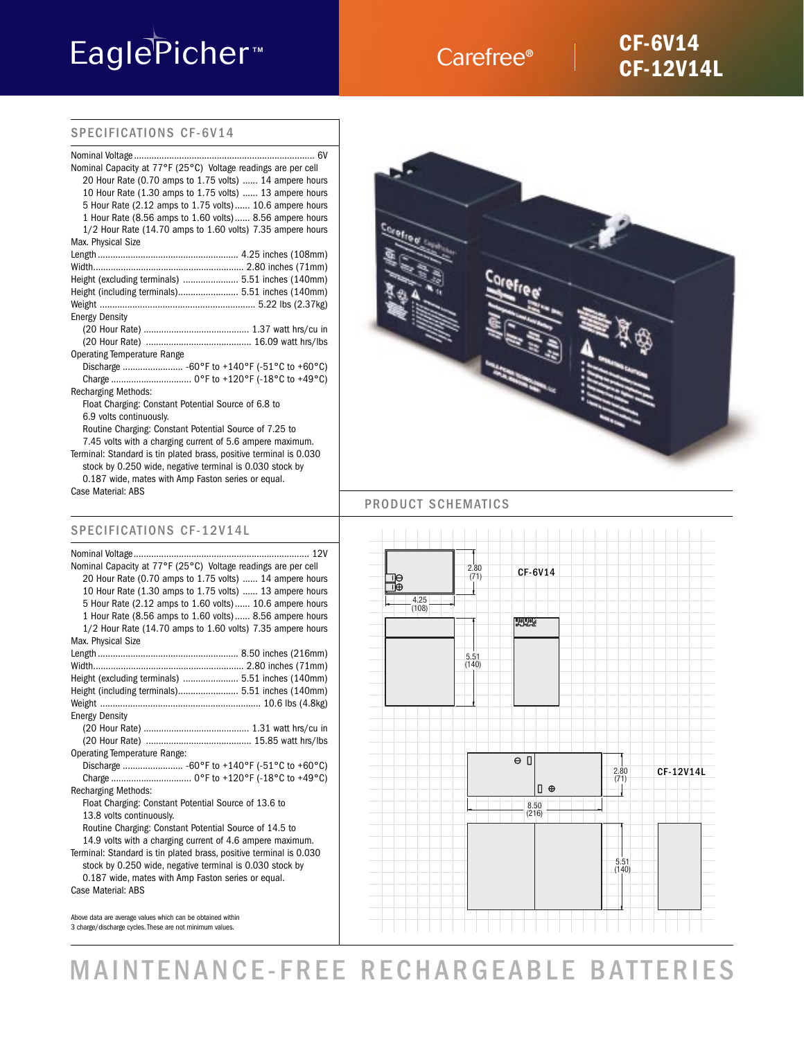# EaglePicher<sup>™</sup>

# Carefree®

# **CF-6V14 CF-12V14L**

## SPECIFICATIONS CF-6V14

| Nominal Voltage                                                    |
|--------------------------------------------------------------------|
| Nominal Capacity at 77°F (25°C) Voltage readings are per cell      |
| 20 Hour Rate (0.70 amps to 1.75 volts)  14 ampere hours            |
| 10 Hour Rate (1.30 amps to 1.75 volts)  13 ampere hours            |
| 5 Hour Rate (2.12 amps to 1.75 volts) 10.6 ampere hours            |
| 1 Hour Rate (8.56 amps to 1.60 volts) 8.56 ampere hours            |
| 1/2 Hour Rate (14.70 amps to 1.60 volts) 7.35 ampere hours         |
| Max. Physical Size                                                 |
|                                                                    |
|                                                                    |
| Height (excluding terminals)  5.51 inches (140mm)                  |
| Height (including terminals) 5.51 inches (140mm)                   |
|                                                                    |
| <b>Energy Density</b>                                              |
|                                                                    |
|                                                                    |
| <b>Operating Temperature Range</b>                                 |
| Discharge  -60°F to +140°F (-51°C to +60°C)                        |
|                                                                    |
| <b>Recharging Methods:</b>                                         |
| Float Charging: Constant Potential Source of 6.8 to                |
| 6.9 volts continuously.                                            |
| Routine Charging: Constant Potential Source of 7.25 to             |
| 7.45 volts with a charging current of 5.6 ampere maximum.          |
| Terminal: Standard is tin plated brass, positive terminal is 0.030 |
| stock by 0.250 wide, negative terminal is 0.030 stock by           |

0.187 wide, mates with Amp Faston series or equal. Case Material: ABS

## SPECIFICATIONS CF-12V14L

| Nominal Capacity at 77°F (25°C) Voltage readings are per cell      |
|--------------------------------------------------------------------|
| 20 Hour Rate (0.70 amps to 1.75 volts)  14 ampere hours            |
| 10 Hour Rate (1.30 amps to 1.75 volts)  13 ampere hours            |
| 5 Hour Rate (2.12 amps to 1.60 volts) 10.6 ampere hours            |
| 1 Hour Rate (8.56 amps to 1.60 volts) 8.56 ampere hours            |
| 1/2 Hour Rate (14.70 amps to 1.60 volts) 7.35 ampere hours         |
| Max. Physical Size                                                 |
|                                                                    |
|                                                                    |
| Height (excluding terminals)  5.51 inches (140mm)                  |
| Height (including terminals) 5.51 inches (140mm)                   |
|                                                                    |
| <b>Energy Density</b>                                              |
|                                                                    |
|                                                                    |
| <b>Operating Temperature Range:</b>                                |
| Discharge  -60°F to +140°F (-51°C to +60°C)                        |
|                                                                    |
| <b>Recharging Methods:</b>                                         |
| Float Charging: Constant Potential Source of 13.6 to               |
| 13.8 volts continuously.                                           |
| Routine Charging: Constant Potential Source of 14.5 to             |
| 14.9 volts with a charging current of 4.6 ampere maximum.          |
| Terminal: Standard is tin plated brass, positive terminal is 0.030 |
| stock by 0.250 wide, negative terminal is 0.030 stock by           |
| 0.187 wide, mates with Amp Faston series or equal.                 |
| Case Material: ABS                                                 |

Above data are average values which can be obtained within 3 charge/discharge cycles. These are not minimum values.



### PRODUCT SCHEMATICS



MAINTENANCE-FREE RECHARGEABLE BATTERIES